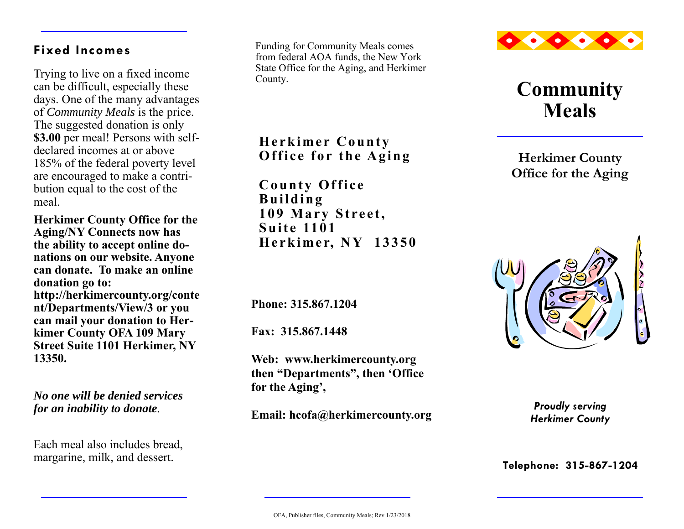## **Fixed Incomes**

Trying to live on a fixed income can be difficult, especially these days. One of the many advantages of *Community Meals* is the price. The suggested donation is only **\$3.00** per meal! Persons with selfdeclared incomes at or above 185% of the federal poverty level are encouraged to make a contribution equal to the cost of the meal.

**Herkimer County Office for the Aging/NY Connects now has the ability to accept online donations on our website. Anyone can donate. To make an online donation go to: http://herkimercounty.org/conte nt/Departments/View/3 or you can mail your donation to Herkimer County OFA 109 Mary Street Suite 1101 Herkimer, NY 13350.** 

*No one will be denied services for an inability to donate.* 

Each meal also includes bread, margarine, milk, and dessert.

Funding for Community Meals comes from federal AOA funds, the New York State Office for the Aging, and Herkimer County.

**Herkimer County Office for the Aging** 

**County Office Building 109 Mary Street, Suite 1101 Herkimer, NY 13350**

**Phone: 315.867.1204** 

**Fax: 315.867.1448** 

**Web: www.herkimercounty.org then "Departments", then 'Office for the Aging',** 

**Email: hcofa@herkimercounty.org** 



## **Community Meals**

**Herkimer County Office for the Aging** 



*Proudly serving Herkimer County* 

**Telephone: 315-867-1204**